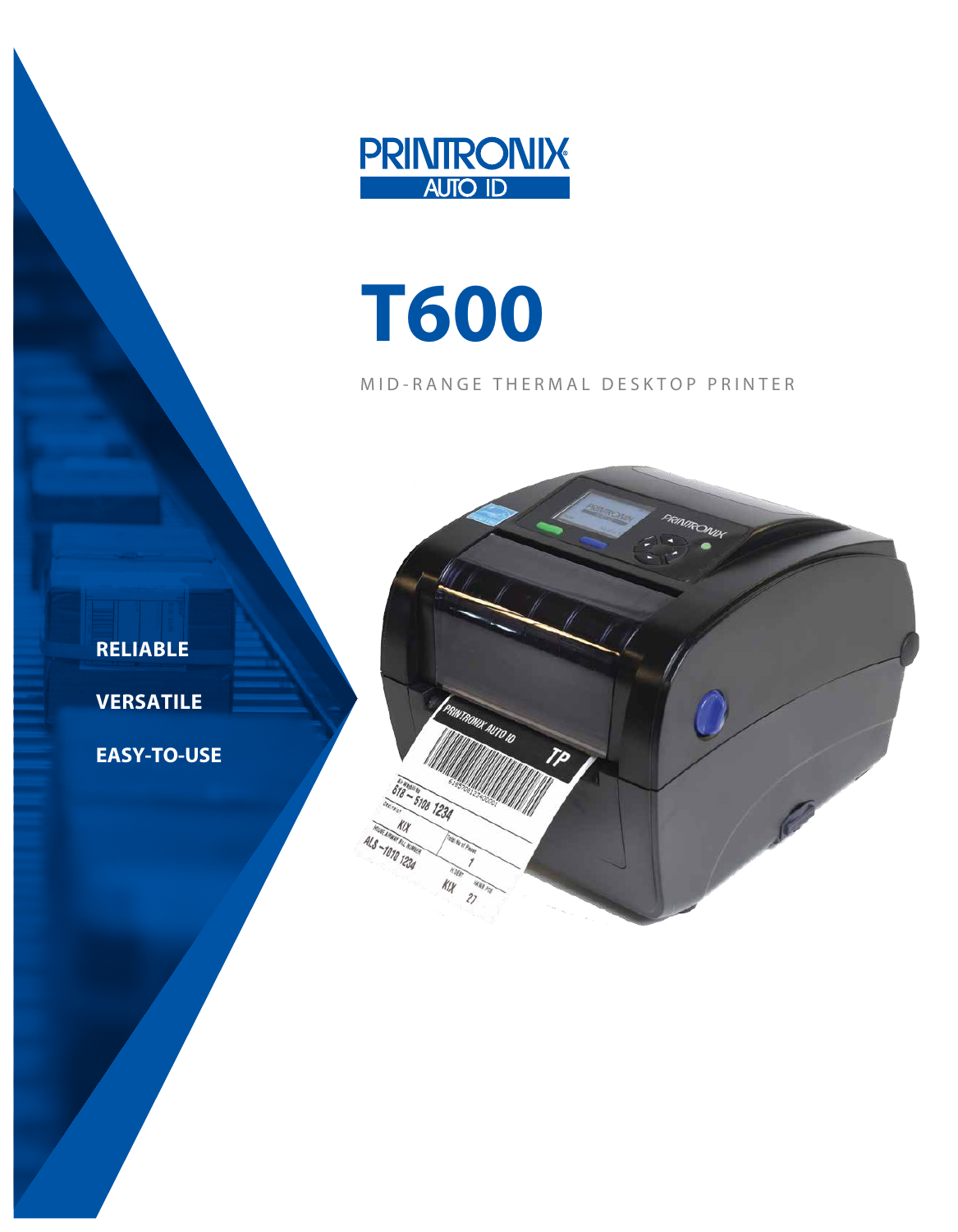

# **T600**

# MID-RANGE THERMAL DESKTOP PRINTER



**RELIABLE**

**VERSATILE**

**EASY-TO-USE**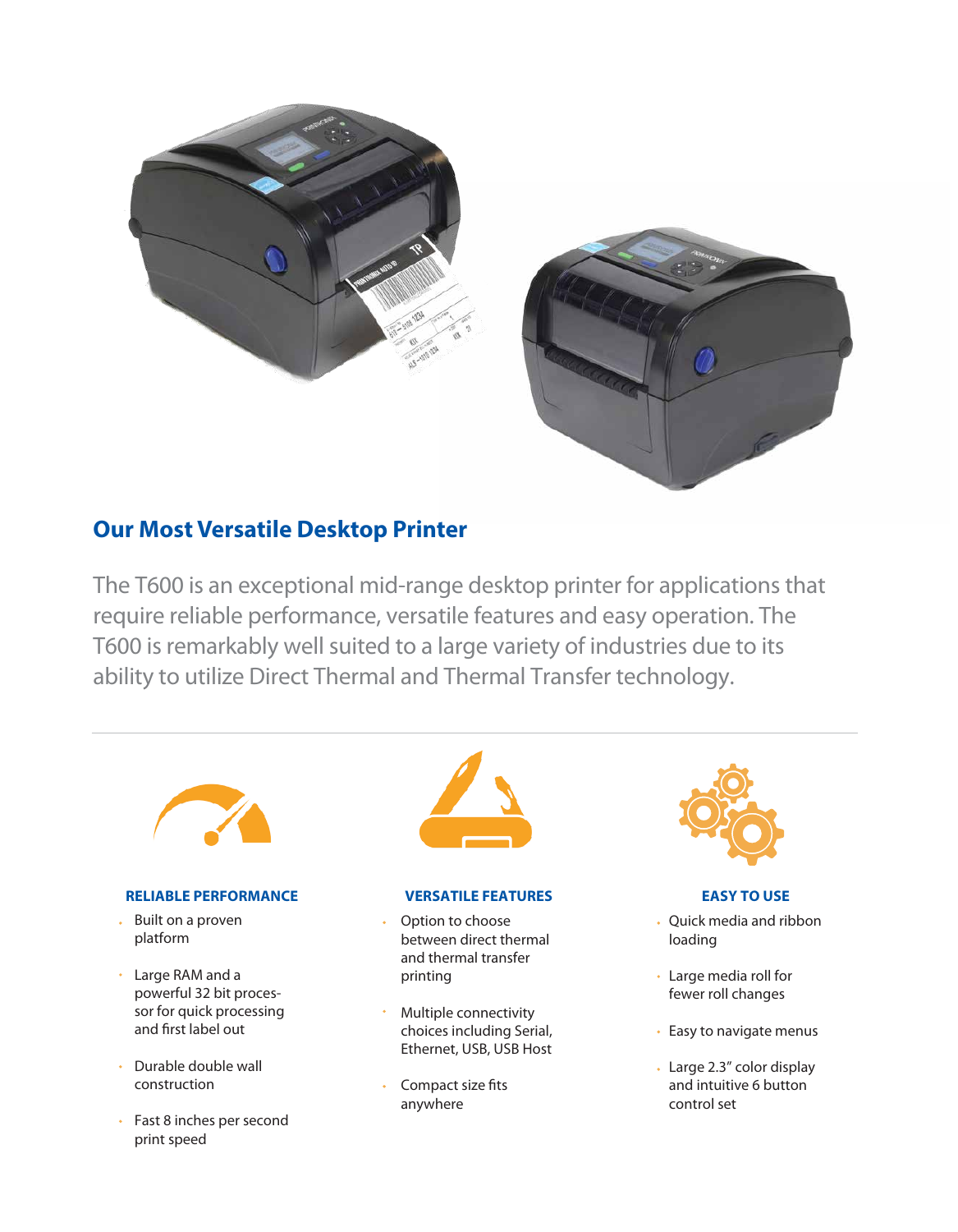



# **Our Most Versatile Desktop Printer**

The T600 is an exceptional mid-range desktop printer for applications that require reliable performance, versatile features and easy operation. The T600 is remarkably well suited to a large variety of industries due to its ability to utilize Direct Thermal and Thermal Transfer technology.



# **RELIABLE PERFORMANCE VERSATILE FEATURES EASY TO USE**

- Built on a proven  $\mathbf{r}$ platform
- Large RAM and a powerful 32 bit processor for quick processing and first label out
- Durable double wall construction
- Fast 8 inches per second print speed



- Option to choose between direct thermal and thermal transfer printing
- Multiple connectivity choices including Serial, Ethernet, USB, USB Host
- Compact size fits anywhere



- Ouick media and ribbon loading
- Large media roll for fewer roll changes
- Easy to navigate menus
- Large 2.3" color display and intuitive 6 button control set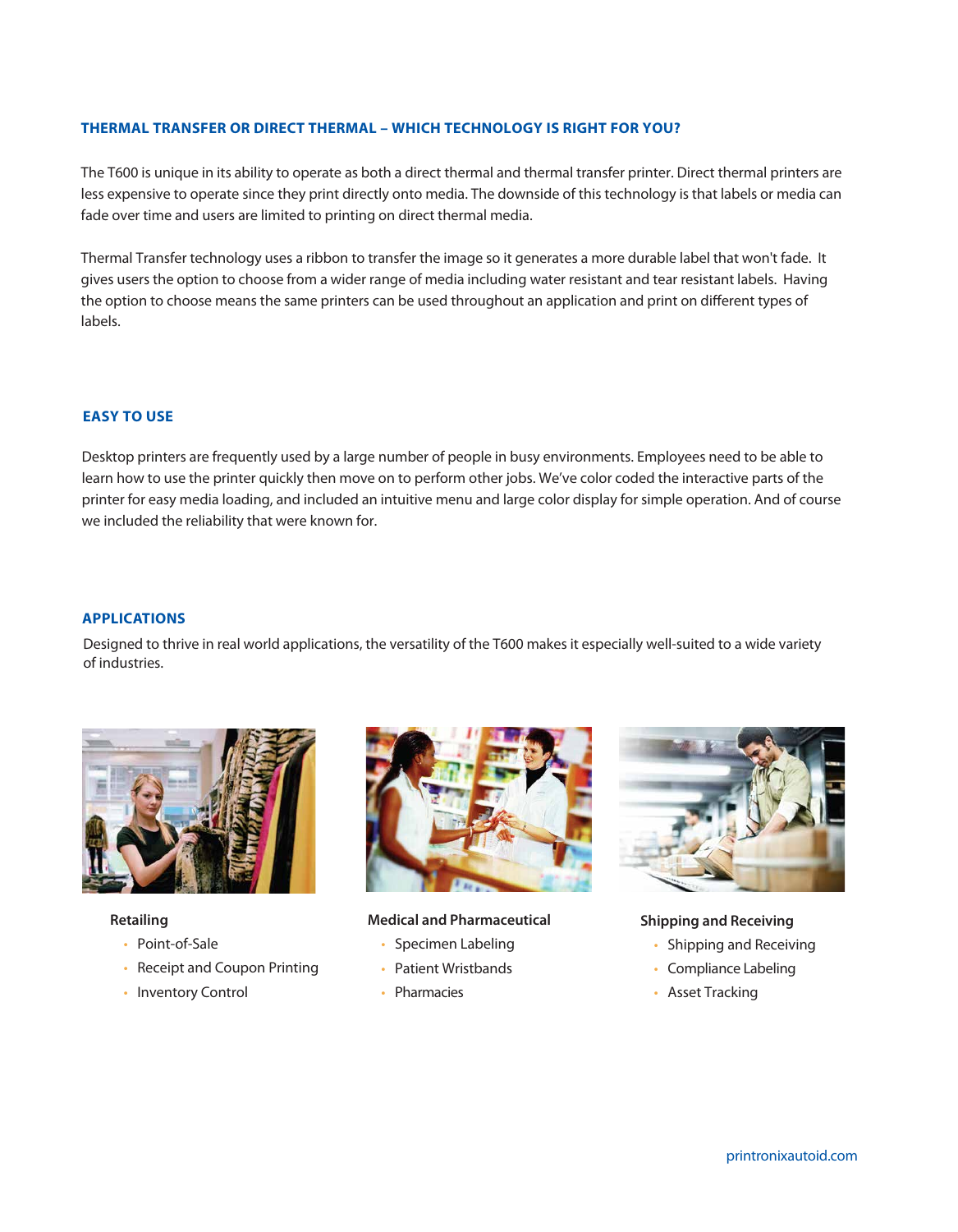## **THERMAL TRANSFER OR DIRECT THERMAL – WHICH TECHNOLOGY IS RIGHT FOR YOU?**

The T600 is unique in its ability to operate as both a direct thermal and thermal transfer printer. Direct thermal printers are less expensive to operate since they print directly onto media. The downside of this technology is that labels or media can fade over time and users are limited to printing on direct thermal media.

Thermal Transfer technology uses a ribbon to transfer the image so it generates a more durable label that won't fade. It gives users the option to choose from a wider range of media including water resistant and tear resistant labels. Having the option to choose means the same printers can be used throughout an application and print on different types of labels.

### **EASY TO USE**

Desktop printers are frequently used by a large number of people in busy environments. Employees need to be able to learn how to use the printer quickly then move on to perform other jobs. We've color coded the interactive parts of the printer for easy media loading, and included an intuitive menu and large color display for simple operation. And of course we included the reliability that were known for.

## **APPLICATIONS**

Designed to thrive in real world applications, the versatility of the T600 makes it especially well-suited to a wide variety of industries.



**Retailing**

- Point-of-Sale
- Receipt and Coupon Printing
- Inventory Control



**Medical and Pharmaceutical**

- Specimen Labeling
- Patient Wristbands
- Pharmacies



**Shipping and Receiving**

- Shipping and Receiving
- Compliance Labeling
- Asset Tracking